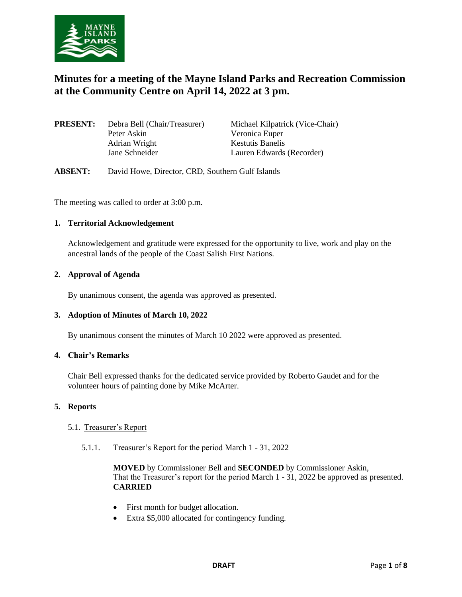

# **Minutes for a meeting of the Mayne Island Parks and Recreation Commission at the Community Centre on April 14, 2022 at 3 pm.**

| Debra Bell (Chair/Treasurer) | <b>Mich</b> |
|------------------------------|-------------|
| Peter Askin                  | Veror       |
| Adrian Wright                | Kestu       |
| Jane Schneider               | Laure       |
|                              |             |

ael Kilpatrick (Vice-Chair) nica Euper atis Banelis en Edwards (Recorder)

**ABSENT:** David Howe, Director, CRD, Southern Gulf Islands

The meeting was called to order at 3:00 p.m.

#### **1. Territorial Acknowledgement**

Acknowledgement and gratitude were expressed for the opportunity to live, work and play on the ancestral lands of the people of the Coast Salish First Nations.

#### **2. Approval of Agenda**

By unanimous consent, the agenda was approved as presented.

#### **3. Adoption of Minutes of March 10, 2022**

By unanimous consent the minutes of March 10 2022 were approved as presented.

#### **4. Chair's Remarks**

Chair Bell expressed thanks for the dedicated service provided by Roberto Gaudet and for the volunteer hours of painting done by Mike McArter.

#### **5. Reports**

#### 5.1. Treasurer's Report

5.1.1. Treasurer's Report for the period March 1 - 31, 2022

**MOVED** by Commissioner Bell and **SECONDED** by Commissioner Askin, That the Treasurer's report for the period March 1 - 31, 2022 be approved as presented. **CARRIED**

- First month for budget allocation.
- Extra \$5,000 allocated for contingency funding.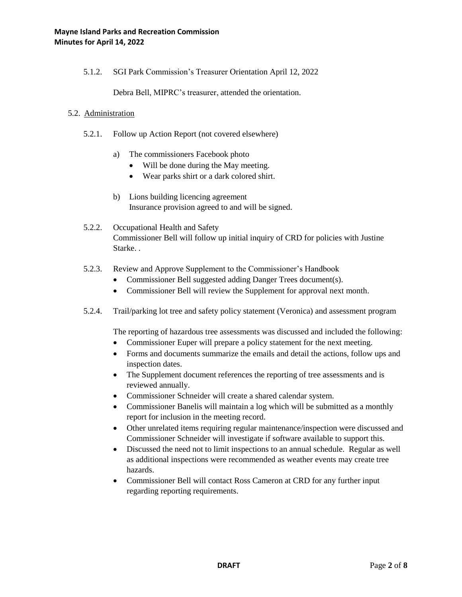5.1.2. SGI Park Commission's Treasurer Orientation April 12, 2022

Debra Bell, MIPRC's treasurer, attended the orientation.

#### 5.2. Administration

- 5.2.1. Follow up Action Report (not covered elsewhere)
	- a) The commissioners Facebook photo
		- Will be done during the May meeting.
		- Wear parks shirt or a dark colored shirt.
	- b) Lions building licencing agreement Insurance provision agreed to and will be signed.
- 5.2.2. Occupational Health and Safety Commissioner Bell will follow up initial inquiry of CRD for policies with Justine Starke. .
- 5.2.3. Review and Approve Supplement to the Commissioner's Handbook
	- Commissioner Bell suggested adding Danger Trees document(s).
	- Commissioner Bell will review the Supplement for approval next month.
- 5.2.4. Trail/parking lot tree and safety policy statement (Veronica) and assessment program

The reporting of hazardous tree assessments was discussed and included the following:

- Commissioner Euper will prepare a policy statement for the next meeting.
- Forms and documents summarize the emails and detail the actions, follow ups and inspection dates.
- The Supplement document references the reporting of tree assessments and is reviewed annually.
- Commissioner Schneider will create a shared calendar system.
- Commissioner Banelis will maintain a log which will be submitted as a monthly report for inclusion in the meeting record.
- Other unrelated items requiring regular maintenance/inspection were discussed and Commissioner Schneider will investigate if software available to support this.
- Discussed the need not to limit inspections to an annual schedule. Regular as well as additional inspections were recommended as weather events may create tree hazards.
- Commissioner Bell will contact Ross Cameron at CRD for any further input regarding reporting requirements.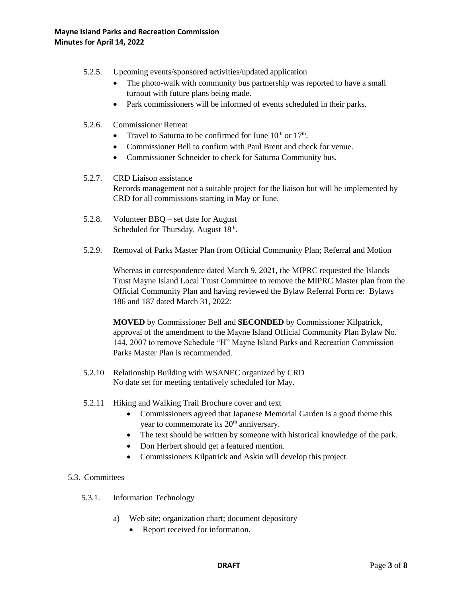- 5.2.5. Upcoming events/sponsored activities/updated application
	- The photo-walk with community bus partnership was reported to have a small turnout with future plans being made.
	- Park commissioners will be informed of events scheduled in their parks.
- 5.2.6. Commissioner Retreat
	- Travel to Saturna to be confirmed for June  $10^{th}$  or  $17^{th}$ .
	- Commissioner Bell to confirm with Paul Brent and check for venue.
	- Commissioner Schneider to check for Saturna Community bus.
- 5.2.7. CRD Liaison assistance Records management not a suitable project for the liaison but will be implemented by CRD for all commissions starting in May or June.
- 5.2.8. Volunteer BBQ set date for August Scheduled for Thursday, August 18<sup>th</sup>.
- 5.2.9. Removal of Parks Master Plan from Official Community Plan; Referral and Motion

Whereas in correspondence dated March 9, 2021, the MIPRC requested the Islands Trust Mayne Island Local Trust Committee to remove the MIPRC Master plan from the Official Community Plan and having reviewed the Bylaw Referral Form re: Bylaws 186 and 187 dated March 31, 2022:

**MOVED** by Commissioner Bell and **SECONDED** by Commissioner Kilpatrick, approval of the amendment to the Mayne Island Official Community Plan Bylaw No. 144, 2007 to remove Schedule "H" Mayne Island Parks and Recreation Commission Parks Master Plan is recommended.

- 5.2.10 Relationship Building with WSANEC organized by CRD No date set for meeting tentatively scheduled for May.
- 5.2.11 Hiking and Walking Trail Brochure cover and text
	- Commissioners agreed that Japanese Memorial Garden is a good theme this year to commemorate its  $20<sup>th</sup>$  anniversary.
	- The text should be written by someone with historical knowledge of the park.
	- Don Herbert should get a featured mention.
	- Commissioners Kilpatrick and Askin will develop this project.

# 5.3. Committees

- 5.3.1. Information Technology
	- a) Web site; organization chart; document depository
		- Report received for information.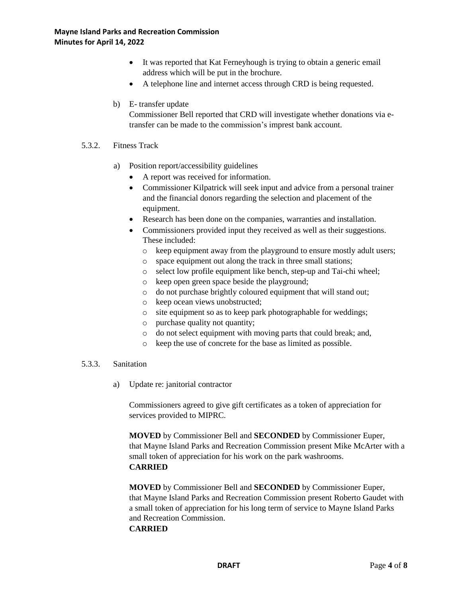- It was reported that Kat Ferneyhough is trying to obtain a generic email address which will be put in the brochure.
- A telephone line and internet access through CRD is being requested.
- b) E- transfer update

Commissioner Bell reported that CRD will investigate whether donations via etransfer can be made to the commission's imprest bank account.

#### 5.3.2. Fitness Track

- a) Position report/accessibility guidelines
	- A report was received for information.
	- Commissioner Kilpatrick will seek input and advice from a personal trainer and the financial donors regarding the selection and placement of the equipment.
	- Research has been done on the companies, warranties and installation.
	- Commissioners provided input they received as well as their suggestions. These included:
		- o keep equipment away from the playground to ensure mostly adult users;
		- o space equipment out along the track in three small stations;
		- o select low profile equipment like bench, step-up and Tai-chi wheel;
		- o keep open green space beside the playground;
		- o do not purchase brightly coloured equipment that will stand out;
		- o keep ocean views unobstructed;
		- o site equipment so as to keep park photographable for weddings;
		- o purchase quality not quantity;
		- o do not select equipment with moving parts that could break; and,
		- o keep the use of concrete for the base as limited as possible.

#### 5.3.3. Sanitation

a) Update re: janitorial contractor

Commissioners agreed to give gift certificates as a token of appreciation for services provided to MIPRC.

**MOVED** by Commissioner Bell and **SECONDED** by Commissioner Euper, that Mayne Island Parks and Recreation Commission present Mike McArter with a small token of appreciation for his work on the park washrooms. **CARRIED**

**MOVED** by Commissioner Bell and **SECONDED** by Commissioner Euper, that Mayne Island Parks and Recreation Commission present Roberto Gaudet with a small token of appreciation for his long term of service to Mayne Island Parks and Recreation Commission.

#### **CARRIED**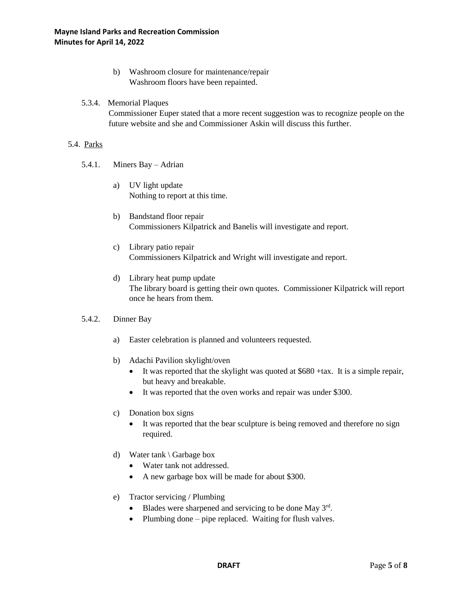- b) Washroom closure for maintenance/repair Washroom floors have been repainted.
- 5.3.4. Memorial Plaques

Commissioner Euper stated that a more recent suggestion was to recognize people on the future website and she and Commissioner Askin will discuss this further.

#### 5.4. Parks

- 5.4.1. Miners Bay Adrian
	- a) UV light update Nothing to report at this time.
	- b) Bandstand floor repair Commissioners Kilpatrick and Banelis will investigate and report.
	- c) Library patio repair Commissioners Kilpatrick and Wright will investigate and report.
	- d) Library heat pump update The library board is getting their own quotes. Commissioner Kilpatrick will report once he hears from them.

# 5.4.2. Dinner Bay

- a) Easter celebration is planned and volunteers requested.
- b) Adachi Pavilion skylight/oven
	- $\bullet$  It was reported that the skylight was quoted at \$680 +tax. It is a simple repair, but heavy and breakable.
	- It was reported that the oven works and repair was under \$300.
- c) Donation box signs
	- It was reported that the bear sculpture is being removed and therefore no sign required.
- d) Water tank \ Garbage box
	- Water tank not addressed.
	- A new garbage box will be made for about \$300.
- e) Tractor servicing / Plumbing
	- $\bullet$  Blades were sharpened and servicing to be done May  $3<sup>rd</sup>$ .
	- Plumbing done pipe replaced. Waiting for flush valves.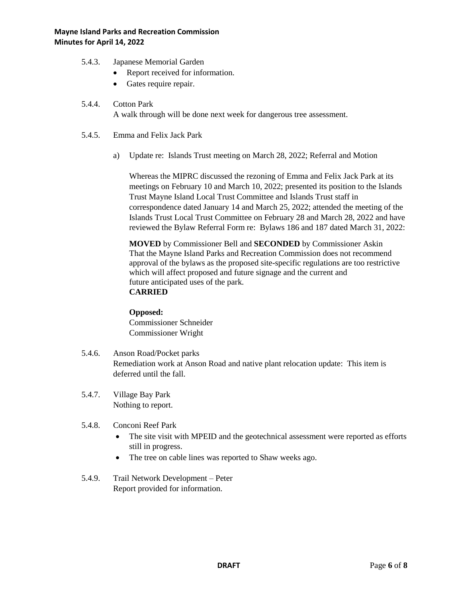- 5.4.3. Japanese Memorial Garden
	- Report received for information.
	- Gates require repair.

#### 5.4.4. Cotton Park

A walk through will be done next week for dangerous tree assessment.

- 5.4.5. Emma and Felix Jack Park
	- a) Update re: Islands Trust meeting on March 28, 2022; Referral and Motion

Whereas the MIPRC discussed the rezoning of Emma and Felix Jack Park at its meetings on February 10 and March 10, 2022; presented its position to the Islands Trust Mayne Island Local Trust Committee and Islands Trust staff in correspondence dated January 14 and March 25, 2022; attended the meeting of the Islands Trust Local Trust Committee on February 28 and March 28, 2022 and have reviewed the Bylaw Referral Form re: Bylaws 186 and 187 dated March 31, 2022:

**MOVED** by Commissioner Bell and **SECONDED** by Commissioner Askin That the Mayne Island Parks and Recreation Commission does not recommend approval of the bylaws as the proposed site-specific regulations are too restrictive which will affect proposed and future signage and the current and future anticipated uses of the park. **CARRIED**

#### **Opposed:**

Commissioner Schneider Commissioner Wright

- 5.4.6. Anson Road/Pocket parks Remediation work at Anson Road and native plant relocation update: This item is deferred until the fall.
- 5.4.7. Village Bay Park Nothing to report.
- 5.4.8. Conconi Reef Park
	- The site visit with MPEID and the geotechnical assessment were reported as efforts still in progress.
	- The tree on cable lines was reported to Shaw weeks ago.
- 5.4.9. Trail Network Development Peter Report provided for information.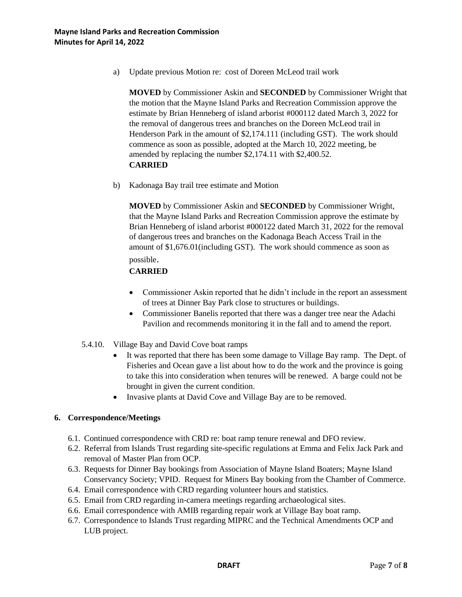a) Update previous Motion re: cost of Doreen McLeod trail work

**MOVED** by Commissioner Askin and **SECONDED** by Commissioner Wright that the motion that the Mayne Island Parks and Recreation Commission approve the estimate by Brian Henneberg of island arborist #000112 dated March 3, 2022 for the removal of dangerous trees and branches on the Doreen McLeod trail in Henderson Park in the amount of \$2,174.111 (including GST). The work should commence as soon as possible, adopted at the March 10, 2022 meeting, be amended by replacing the number \$2,174.11 with \$2,400.52. **CARRIED**

b) Kadonaga Bay trail tree estimate and Motion

**MOVED** by Commissioner Askin and **SECONDED** by Commissioner Wright, that the Mayne Island Parks and Recreation Commission approve the estimate by Brian Henneberg of island arborist #000122 dated March 31, 2022 for the removal of dangerous trees and branches on the Kadonaga Beach Access Trail in the amount of \$1,676.01(including GST). The work should commence as soon as

# possible.

# **CARRIED**

- Commissioner Askin reported that he didn't include in the report an assessment of trees at Dinner Bay Park close to structures or buildings.
- Commissioner Banelis reported that there was a danger tree near the Adachi Pavilion and recommends monitoring it in the fall and to amend the report.
- 5.4.10. Village Bay and David Cove boat ramps
	- It was reported that there has been some damage to Village Bay ramp. The Dept. of Fisheries and Ocean gave a list about how to do the work and the province is going to take this into consideration when tenures will be renewed. A barge could not be brought in given the current condition.
	- Invasive plants at David Cove and Village Bay are to be removed.

#### **6. Correspondence/Meetings**

- 6.1. Continued correspondence with CRD re: boat ramp tenure renewal and DFO review.
- 6.2. Referral from Islands Trust regarding site-specific regulations at Emma and Felix Jack Park and removal of Master Plan from OCP.
- 6.3. Requests for Dinner Bay bookings from Association of Mayne Island Boaters; Mayne Island Conservancy Society; VPID. Request for Miners Bay booking from the Chamber of Commerce.
- 6.4. Email correspondence with CRD regarding volunteer hours and statistics.
- 6.5. Email from CRD regarding in-camera meetings regarding archaeological sites.
- 6.6. Email correspondence with AMIB regarding repair work at Village Bay boat ramp.
- 6.7. Correspondence to Islands Trust regarding MIPRC and the Technical Amendments OCP and LUB project.